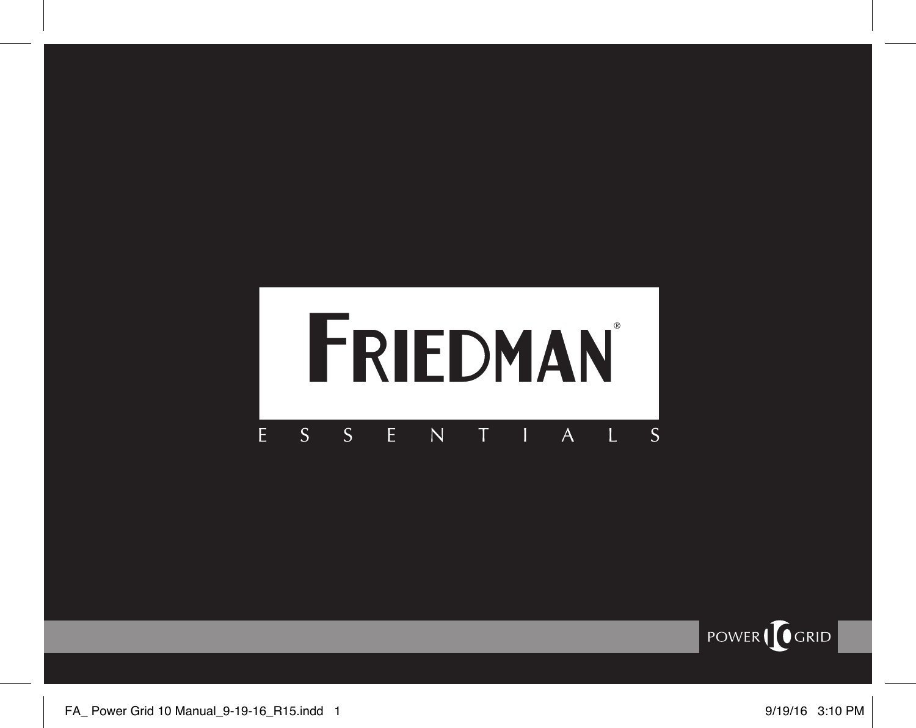#### FRIEDMAN E  $S^ S^{\perp}$  $E^{-1}$  $\overline{N}$  $\top$  $\mathbf{I}$  $\overline{A}$  $\mathbf{L}$  $\overline{\mathsf{S}}$

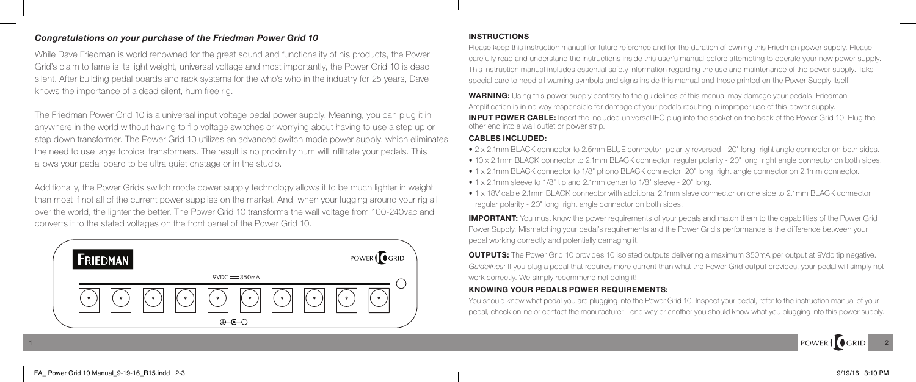## *Congratulations on your purchase of the Friedman Power Grid 10*

While Dave Friedman is world renowned for the great sound and functionality of his products, the Power Grid's claim to fame is its light weight, universal voltage and most importantly, the Power Grid 10 is dead silent. After building pedal boards and rack systems for the who's who in the industry for 25 years, Dave knows the importance of a dead silent, hum free rig.

The Friedman Power Grid 10 is a universal input voltage pedal power supply. Meaning, you can plug it in anywhere in the world without having to flip voltage switches or worrying about having to use a step up or step down transformer. The Power Grid 10 utilizes an advanced switch mode power supply, which eliminates the need to use large toroidal transformers. The result is no proximity hum will infiltrate your pedals. This allows your pedal board to be ultra quiet onstage or in the studio.

Additionally, the Power Grids switch mode power supply technology allows it to be much lighter in weight than most if not all of the current power supplies on the market. And, when your lugging around your rig all over the world, the lighter the better. The Power Grid 10 transforms the wall voltage from 100-240vac and converts it to the stated voltages on the front panel of the Power Grid 10.



### **I NSTRUCTIONS**

Please keep this instruction manual for future reference and for the duration of owning this Friedman power supply. Please carefully read and understand the instructions inside this user's manual before attempting to operate your new power supply. This instruction manual includes essential safety information regarding the use and maintenance of the power supply. Take special care to heed all warning symbols and signs inside this manual and those printed on the Power Supply itself.

**WARNING:** Using this power supply contrary to the guidelines of this manual may damage your pedals. Friedman Amplification is in no way responsible for damage of your pedals resulting in improper use of this power supply. **INPUT POWER CABLE:** Insert the included universal IEC plug into the socket on the back of the Power Grid 10. Plug the other end into a wall outlet or power strip.

### **CABLES INCLUDED:**

1 2

- 2 x 2.1mm BLACK connector to 2.5mm BLUE connector polarity reversed 20" long right angle connector on both sides.
- 10 x 2.1mm BLACK connector to 2.1mm BLACK connector regular polarity 20" long right angle connector on both sides.
- 1 x 2.1mm BLACK connector to 1/8" phono BLACK connector 20" long right angle connector on 2.1mm connector.
- 1 x 2.1mm sleeve to 1/8" tip and 2.1mm center to 1/8" sleeve 20" long.
- 1 x 18V cable 2.1mm BLACK connector with additional 2.1mm slave connector on one side to 2.1mm BLACK connector regular polarity - 20" long right angle connector on both sides.

**IMPORTANT:** You must know the power requirements of your pedals and match them to the capabilities of the Power Grid Power Supply. Mismatching your pedal's requirements and the Power Grid's performance is the difference between your pedal working correctly and potentially damaging it.

**OUTPUTS:** The Power Grid 10 provides 10 isolated outputs delivering a maximum 350mA per output at 9Vdc tip negative. *Guidelines:* If you plug a pedal that requires more current than what the Power Grid output provides, your pedal will simply not work correctly. We simply recommend not doing it!

## **KNOWING YOUR PEDALS POWER REQUIREMENTS:**

You should know what pedal you are plugging into the Power Grid 10. Inspect your pedal, refer to the instruction manual of your pedal, check online or contact the manufacturer - one way or another you should know what you plugging into this power supply.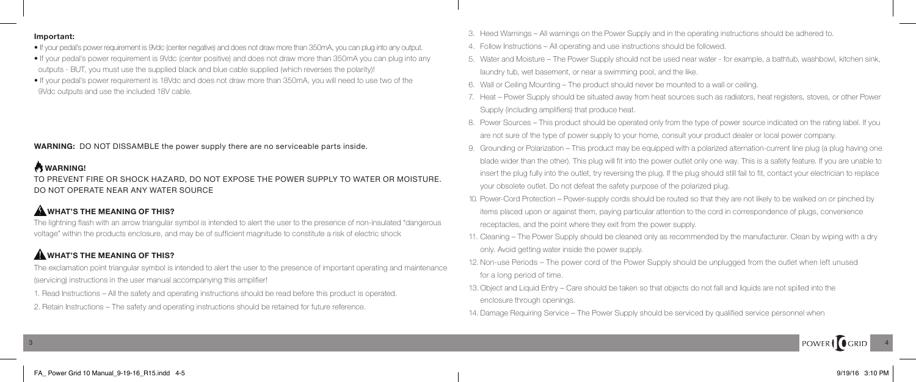### **Important:**

- If your pedal's power requirement is 9Vdc (center negative) and does not draw more than 350mA, you can plug into any output.
- If your pedal's power requirement is 9Vdc (center positive) and does not draw more than 350mA you can plug into any outputs - BUT, you must use the supplied black and blue cable supplied (which reverses the polarity)!
- If your pedal's power requirement is 18Vdc and does not draw more than 350mA, you will need to use two of the 9Vdc outputs and use the included 18V cable.

**WARNING:** DO NOT DISSAMBLE the power supply there are no serviceable parts inside.

## **WARNING!**

TO PREVENT FIRE OR SHOCK HAZARD, DO NOT EXPOSE THE POWER SUPPLY TO WATER OR MOISTURE. DO NOT OPERATE NEAR ANY WATER SOURCE

## **WHAT'S THE MEANING OF THIS?**

The lightning flash with an arrow triangular symbol is intended to alert the user to the presence of non‐insulated "dangerous voltage" within the products enclosure, and may be of sufficient magnitude to constitute a risk of electric shock

## **A** WHAT'S THE MEANING OF THIS?

The exclamation point triangular symbol is intended to alert the user to the presence of important operating and maintenance (servicing) instructions in the user manual accompanying this amplifier!

- 1. Read Instructions All the safety and operating instructions should be read before this product is operated.
- 2. Retain Instructions The safety and operating instructions should be retained for future reference.
- 3. Heed Warnings All warnings on the Power Supply and in the operating instructions should be adhered to.
- 4. Follow Instructions All operating and use instructions should be followed.
- 5. Water and Moisture The Power Supply should not be used near water for example, a bathtub, washbowl, kitchen sink, laundry tub, wet basement, or near a swimming pool, and the like.
- 6. Wall or Ceiling Mounting The product should never be mounted to a wall or ceiling.
- 7. Heat Power Supply should be situated away from heat sources such as radiators, heat registers, stoves, or other Power Supply (including amplifiers) that produce heat.
- 8. Power Sources This product should be operated only from the type of power source indicated on the rating label. If you are not sure of the type of power supply to your home, consult your product dealer or local power company.
- 9. Grounding or Polarization This product may be equipped with a polarized alternation-current line plug (a plug having one blade wider than the other). This plug will fit into the power outlet only one way. This is a safety feature. If you are unable to insert the plug fully into the outlet, try reversing the plug. If the plug should still fail to fit, contact your electrician to replace your obsolete outlet. Do not defeat the safety purpose of the polarized plug.
- 10. Power‐Cord Protection Power‐supply cords should be routed so that they are not likely to be walked on or pinched by items placed upon or against them, paying particular attention to the cord in correspondence of plugs, convenience receptacles, and the point where they exit from the power supply.
- 11. Cleaning The Power Supply should be cleaned only as recommended by the manufacturer. Clean by wiping with a dry only. Avoid getting water inside the power supply.
- 12. Non-use Periods The power cord of the Power Supply should be unplugged from the outlet when left unused for a long period of time.
- 13. Object and Liquid Entry Care should be taken so that objects do not fall and liquids are not spilled into the enclosure through openings.
- 14. Damage Requiring Service The Power Supply should be serviced by qualified service personnel when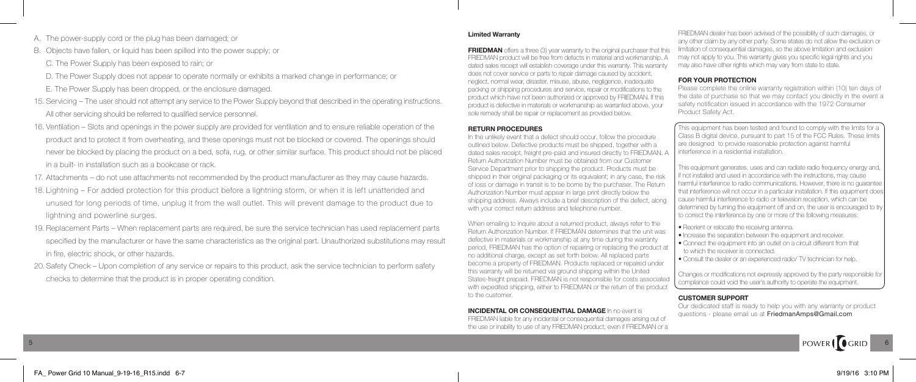- A. The power‐supply cord or the plug has been damaged; or
- B. Objects have fallen, or liquid has been spilled into the power supply; or
	- C. The Power Supply has been exposed to rain; or
	- D. The Power Supply does not appear to operate normally or exhibits a marked change in performance; or
	- E. The Power Supply has been dropped, or the enclosure damaged.
- 15. Servicing The user should not attempt any service to the Power Supply beyond that described in the operating instructions. All other servicing should be referred to qualified service personnel.
- 16. Ventilation Slots and openings in the power supply are provided for ventilation and to ensure reliable operation of the product and to protect it from overheating, and these openings must not be blocked or covered. The openings should never be blocked by placing the product on a bed, sofa, rug, or other similar surface. This product should not be placed in a built‐ in installation such as a bookcase or rack.
- 17. Attachments do not use attachments not recommended by the product manufacturer as they may cause hazards.
- 18. Lightning For added protection for this product before a lightning storm, or when it is left unattended and unused for long periods of time, unplug it from the wall outlet. This will prevent damage to the product due to lightning and powerline surges.
- 19. Replacement Parts When replacement parts are required, be sure the service technician has used replacement parts specified by the manufacturer or have the same characteristics as the original part. Unauthorized substitutions may result in fire, electric shock, or other hazards.
- 20. Safety Check Upon completion of any service or repairs to this product, ask the service technician to perform safety checks to determine that the product is in proper operating condition.

### **Limited Warranty**

**FRIEDMAN** offers a three (3) year warranty to the original purchaser that this FRIEDMAN product will be free from defects in material and workmanship. A dated sales receipt will establish coverage under this warranty. This warranty does not cover service or parts to repair damage caused by accident, neglect, normal wear, disaster, misuse, abuse, negligence, inadequate packing or shipping procedures and service, repair or modifications to the product which have not been authorized or approved by FRIEDMAN. If this product is defective in materials or workmanship as warranted above, your sole remedy shall be repair or replacement as provided below.

### **RETURN PROCEDURES**

In the unlikely event that a defect should occur, follow the procedure outlined below. Defective products must be shipped, together with a dated sales receipt, freight pre-paid and insured directly to FRIEDMAN. A Return Authorization Number must be obtained from our Customer Service Department prior to shipping the product. Products must be shipped in their original packaging or its equivalent; in any case, the risk of loss or damage in transit is to be borne by the purchaser. The Return Authorization Number must appear in large print directly below the shipping address. Always include a brief description of the defect, along with your correct return address and telephone number.

When emailing to inquire about a returned product, always refer to the Return Authorization Number. If FRIEDMAN determines that the unit was defective in materials or workmanship at any time during the warranty period, FRIEDMAN has the option of repairing or replacing the product at no additional charge, except as set forth below. All replaced parts become a property of FRIEDMAN. Products replaced or repaired under this warranty will be returned via ground shipping within the United States-freight prepaid. FRIEDMAN is not responsible for costs associated with expedited shipping, either to FRIEDMAN or the return of the product to the customer.

**INCIDENTAL OR CONSEQUENTIAL DAMAGE** In no event is FRIEDMAN liable for any incidental or consequential damages arising out of the use or inability to use of any FRIEDMAN product, even if FRIEDMAN or a

FRIEDMAN dealer has been advised of the possibility of such damages, or any other claim by any other party. Some states do not allow the exclusion or limitation of consequential damages, so the above limitation and exclusion may not apply to you. This warranty gives you specific legal rights and you may also have other rights which may vary from state to state.

#### **FOR YOUR PROTECTION**

Please complete the online warranty registration within (10) ten days of the date of purchase so that we may contact you directly in the event a safety notification issued in accordance with the 1972 Consumer Product Safety Act.

This equipment has been tested and found to comply with the limits for a Class B digital device, pursuant to part 15 of the FCC Rules. These limits are designed to provide reasonable protection against harmful interference in a residential installation.

This equipment generates, uses and can radiate radio frequency energy and, if not installed and used in accordance with the instructions, may cause harmful interference to radio communications. However, there is no guarantee that interference will not occur in a particular installation. If this equipment does cause harmful interference to radio or television reception, which can be determined by turning the equipment off and on, the user is encouraged to try to correct the interference by one or more of the following measures:

- Reorient or relocate the receiving antenna.
- Increase the separation between the equipment and receiver.
- Connect the equipment into an outlet on a circuit different from that to which the receiver is connected.
- Consult the dealer or an experienced radio/ TV technician for help.

Changes or modifications not expressly approved by the party responsible for compliance could void the user's authority to operate the equipment.

#### **CUSTOMER SUPPORT**

Our dedicated staff is ready to help you with any warranty or product questions - please email us at FriedmanAmps@Gmail.com